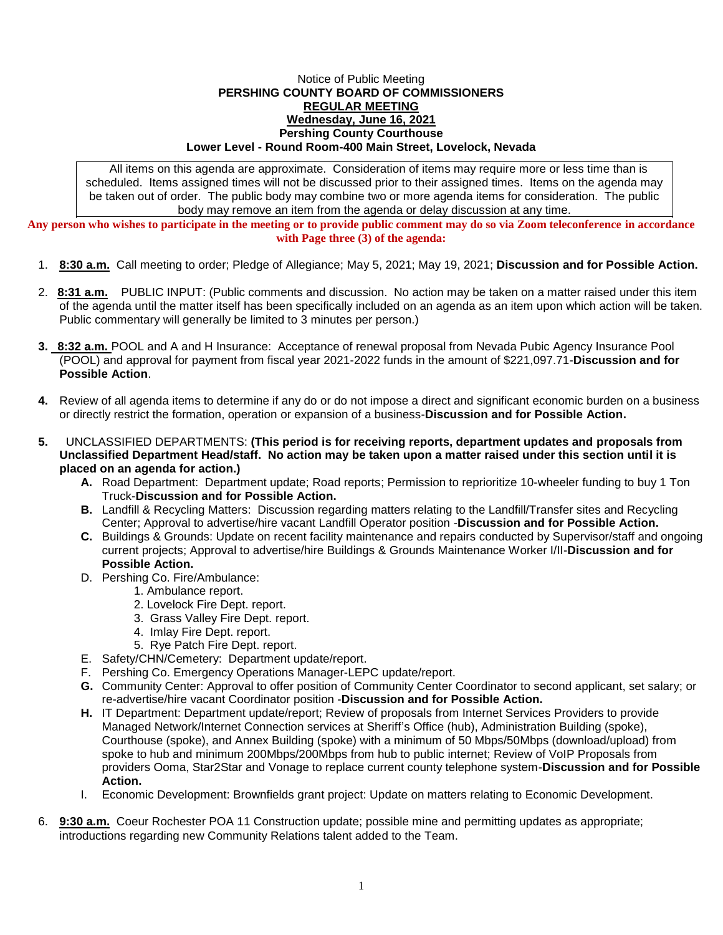## Notice of Public Meeting **PERSHING COUNTY BOARD OF COMMISSIONERS REGULAR MEETING Wednesday, June 16, 2021 Pershing County Courthouse Lower Level - Round Room-400 Main Street, Lovelock, Nevada**

All items on this agenda are approximate. Consideration of items may require more or less time than is scheduled. Items assigned times will not be discussed prior to their assigned times. Items on the agenda may be taken out of order. The public body may combine two or more agenda items for consideration. The public body may remove an item from the agenda or delay discussion at any time.

**Any person who wishes to participate in the meeting or to provide public comment may do so via Zoom teleconference in accordance with Page three (3) of the agenda:**

- 1. **8:30 a.m.** Call meeting to order; Pledge of Allegiance; May 5, 2021; May 19, 2021; **Discussion and for Possible Action.**
- 2. **8:31 a.m.** PUBLIC INPUT: (Public comments and discussion. No action may be taken on a matter raised under this item of the agenda until the matter itself has been specifically included on an agenda as an item upon which action will be taken. Public commentary will generally be limited to 3 minutes per person.)
- **3. 8:32 a.m.** POOL and A and H Insurance: Acceptance of renewal proposal from Nevada Pubic Agency Insurance Pool (POOL) and approval for payment from fiscal year 2021-2022 funds in the amount of \$221,097.71-**Discussion and for Possible Action**.
- **4.** Review of all agenda items to determine if any do or do not impose a direct and significant economic burden on a business or directly restrict the formation, operation or expansion of a business-**Discussion and for Possible Action.**
- **5.** UNCLASSIFIED DEPARTMENTS: **(This period is for receiving reports, department updates and proposals from Unclassified Department Head/staff. No action may be taken upon a matter raised under this section until it is placed on an agenda for action.)**
	- **A.** Road Department: Department update; Road reports; Permission to reprioritize 10-wheeler funding to buy 1 Ton Truck-**Discussion and for Possible Action.**
	- **B.** Landfill & Recycling Matters: Discussion regarding matters relating to the Landfill/Transfer sites and Recycling Center; Approval to advertise/hire vacant Landfill Operator position -**Discussion and for Possible Action.**
	- **C.** Buildings & Grounds: Update on recent facility maintenance and repairs conducted by Supervisor/staff and ongoing current projects; Approval to advertise/hire Buildings & Grounds Maintenance Worker I/II-**Discussion and for Possible Action.**
	- D. Pershing Co. Fire/Ambulance:
		- 1. Ambulance report.
		- 2. Lovelock Fire Dept. report.
		- 3. Grass Valley Fire Dept. report.
		- 4. Imlay Fire Dept. report.
		- 5. Rye Patch Fire Dept. report.
	- E. Safety/CHN/Cemetery: Department update/report.
	- F. Pershing Co. Emergency Operations Manager-LEPC update/report.
	- **G.** Community Center: Approval to offer position of Community Center Coordinator to second applicant, set salary; or re-advertise/hire vacant Coordinator position -**Discussion and for Possible Action.**
	- **H.** IT Department: Department update/report; Review of proposals from Internet Services Providers to provide Managed Network/Internet Connection services at Sheriff's Office (hub), Administration Building (spoke), Courthouse (spoke), and Annex Building (spoke) with a minimum of 50 Mbps/50Mbps (download/upload) from spoke to hub and minimum 200Mbps/200Mbps from hub to public internet; Review of VoIP Proposals from providers Ooma, Star2Star and Vonage to replace current county telephone system-**Discussion and for Possible Action.**
	- I. Economic Development: Brownfields grant project: Update on matters relating to Economic Development.
- 6. **9:30 a.m.** Coeur Rochester POA 11 Construction update; possible mine and permitting updates as appropriate; introductions regarding new Community Relations talent added to the Team.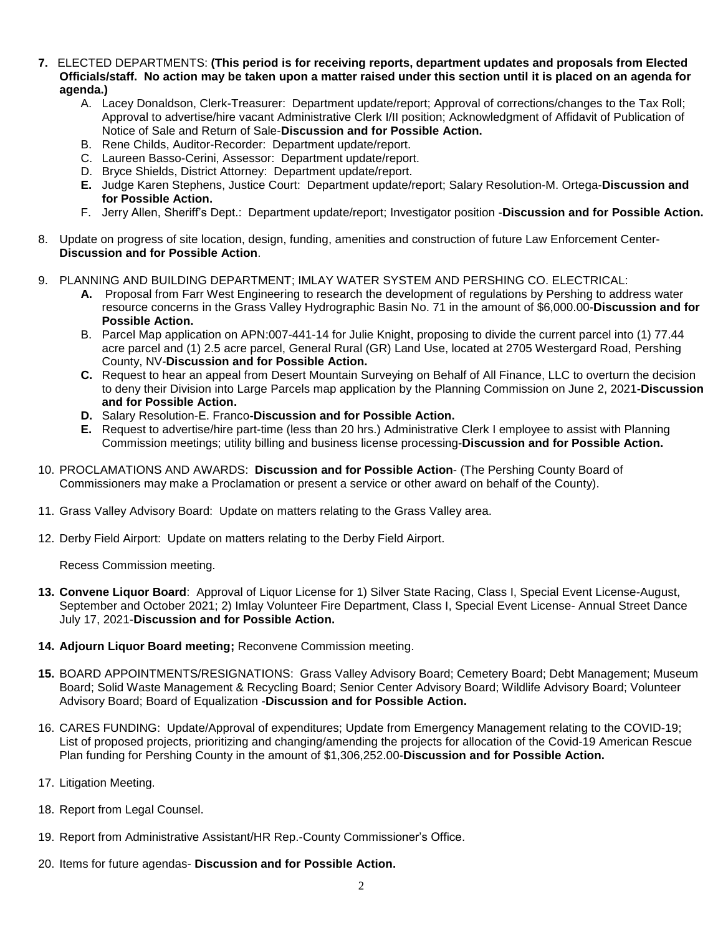- **7.** ELECTED DEPARTMENTS: **(This period is for receiving reports, department updates and proposals from Elected Officials/staff. No action may be taken upon a matter raised under this section until it is placed on an agenda for agenda.)**
	- A. Lacey Donaldson, Clerk-Treasurer: Department update/report; Approval of corrections/changes to the Tax Roll; Approval to advertise/hire vacant Administrative Clerk I/II position; Acknowledgment of Affidavit of Publication of Notice of Sale and Return of Sale-**Discussion and for Possible Action.**
	- B. Rene Childs, Auditor-Recorder: Department update/report.
	- C. Laureen Basso-Cerini, Assessor: Department update/report.
	- D. Bryce Shields, District Attorney: Department update/report.
	- **E.** Judge Karen Stephens, Justice Court: Department update/report; Salary Resolution-M. Ortega-**Discussion and for Possible Action.**
	- F. Jerry Allen, Sheriff's Dept.: Department update/report; Investigator position -**Discussion and for Possible Action.**
- 8. Update on progress of site location, design, funding, amenities and construction of future Law Enforcement Center-**Discussion and for Possible Action**.
- 9. PLANNING AND BUILDING DEPARTMENT; IMLAY WATER SYSTEM AND PERSHING CO. ELECTRICAL:
	- **A.** Proposal from Farr West Engineering to research the development of regulations by Pershing to address water resource concerns in the Grass Valley Hydrographic Basin No. 71 in the amount of \$6,000.00-**Discussion and for Possible Action.**
	- B. Parcel Map application on APN:007-441-14 for Julie Knight, proposing to divide the current parcel into (1) 77.44 acre parcel and (1) 2.5 acre parcel, General Rural (GR) Land Use, located at 2705 Westergard Road, Pershing County, NV-**Discussion and for Possible Action.**
	- **C.** Request to hear an appeal from Desert Mountain Surveying on Behalf of All Finance, LLC to overturn the decision to deny their Division into Large Parcels map application by the Planning Commission on June 2, 2021**-Discussion and for Possible Action.**
	- **D.** Salary Resolution-E. Franco**-Discussion and for Possible Action.**
	- **E.** Request to advertise/hire part-time (less than 20 hrs.) Administrative Clerk I employee to assist with Planning Commission meetings; utility billing and business license processing-**Discussion and for Possible Action.**
- 10. PROCLAMATIONS AND AWARDS: **Discussion and for Possible Action** (The Pershing County Board of Commissioners may make a Proclamation or present a service or other award on behalf of the County).
- 11. Grass Valley Advisory Board: Update on matters relating to the Grass Valley area.
- 12. Derby Field Airport: Update on matters relating to the Derby Field Airport.

Recess Commission meeting.

- **13. Convene Liquor Board**: Approval of Liquor License for 1) Silver State Racing, Class I, Special Event License-August, September and October 2021; 2) Imlay Volunteer Fire Department, Class I, Special Event License- Annual Street Dance July 17, 2021-**Discussion and for Possible Action.**
- **14. Adjourn Liquor Board meeting;** Reconvene Commission meeting.
- **15.** BOARD APPOINTMENTS/RESIGNATIONS: Grass Valley Advisory Board; Cemetery Board; Debt Management; Museum Board; Solid Waste Management & Recycling Board; Senior Center Advisory Board; Wildlife Advisory Board; Volunteer Advisory Board; Board of Equalization -**Discussion and for Possible Action.**
- 16. CARES FUNDING: Update/Approval of expenditures; Update from Emergency Management relating to the COVID-19; List of proposed projects, prioritizing and changing/amending the projects for allocation of the Covid-19 American Rescue Plan funding for Pershing County in the amount of \$1,306,252.00-**Discussion and for Possible Action.**
- 17. Litigation Meeting.
- 18. Report from Legal Counsel.
- 19. Report from Administrative Assistant/HR Rep.-County Commissioner's Office.
- 20. Items for future agendas- **Discussion and for Possible Action.**